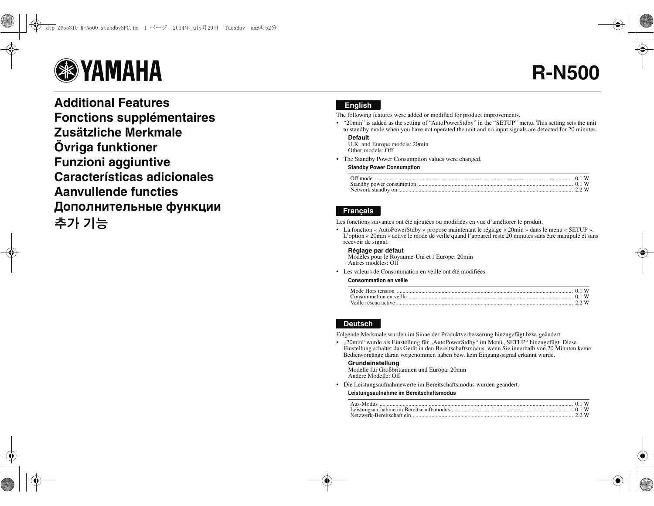# **B**YAMAHA

**Additional FeaturesFonctions supplémentaires Zusätzliche MerkmaleÖvriga funktioner Funzioni aggiuntive Características adicionalesAanvullende functiesДополнительные функции** 추가 기능

# **English**

The following features were added or modified for product improvements.

• "20min" is added as the setting of "AutoPowerStdby" in the "SETUP" menu. This setting sets the unit to standby mode when you have not operated the unit and no input signals are detected for 20 minutes.

## **Default**

 U.K. and Europe models: 20min Other models: Off

• The Standby Power Consumption values were changed.

#### **Standby Power Consumption**

| Off mode |  |  |
|----------|--|--|
|          |  |  |
|          |  |  |

# **Français**

Les fonctions suivantes ont été ajoutées ou modifiées en vue d'améliorer le produit.

• La fonction « AutoPowerStdby » propose maintenant le réglage « 20min » dans le menu « SETUP ». L'option « 20min » active le mode de veille quand l'appareil reste 20 minutes sans être manipulé et sans recevoir de signal.

## **Réglage par défaut**

Modèles pour le Royaume-Uni et l'Europe: 20min Autres modèles: Off

• Les valeurs de Consommation en veille ont été modifiées.

#### **Consommation en veille**

# **Deutsch**

Folgende Merkmale wurden im Sinne der Produktverbesserung hinzugefügt bzw. geändert.

• "20min" wurde als Einstellung für "AutoPowerStdby" im Menü "SETUP" hinzugefügt. Diese Einstellung schaltet das Gerät in den Bereitschaftsmodus, wenn Sie innerhalb von 20 Minuten keine Bedienvorgänge daran vorgenommen haben bzw. kein Eingangssignal erkannt wurde.

#### **Grundeinstellung**

Modelle für Großbritannien und Europa: 20min Andere Modelle: Off

• Die Leistungsaufnahmewerte im Bereitschaftsmodus wurden geändert.

#### **Leistungsaufnahme im Bereitschaftsmodus**